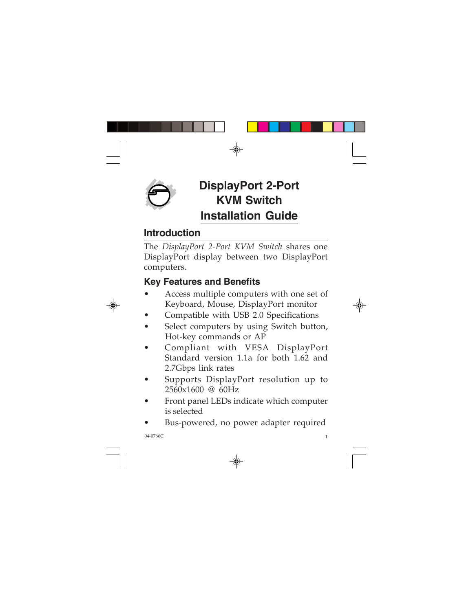

# **DisplayPort 2-Port KVM Switch Installation Guide**

#### **Introduction**

The *DisplayPort 2-Port KVM Switch* shares one DisplayPort display between two DisplayPort computers.

### **Key Features and Benefits**

- Access multiple computers with one set of Keyboard, Mouse, DisplayPort monitor
- Compatible with USB 2.0 Specifications
- Select computers by using Switch button, Hot-key commands or AP
- Compliant with VESA DisplayPort Standard version 1.1a for both 1.62 and 2.7Gbps link rates
- Supports DisplayPort resolution up to 2560x1600 @ 60Hz
- Front panel LEDs indicate which computer is selected
- Bus-powered, no power adapter required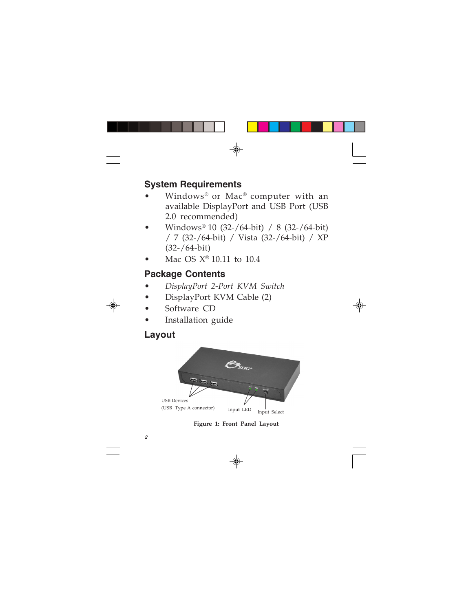#### **System Requirements**

- Windows® or Mac® computer with an available DisplayPort and USB Port (USB 2.0 recommended)
- Windows® 10 (32-/64-bit) / 8 (32-/64-bit) / 7 (32-/64-bit) / Vista (32-/64-bit) / XP (32-/64-bit)
- Mac OS  $X^{\circledast}$  10.11 to 10.4

#### **Package Contents**

- *DisplayPort 2-Port KVM Switch*
- DisplayPort KVM Cable (2)
- Software CD
- Installation guide

## **Layout**



**Figure 1: Front Panel Layout**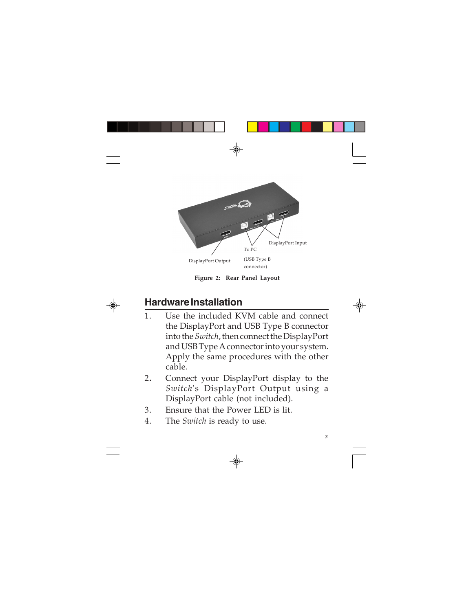

**Figure 2: Rear Panel Layout**

## **Hardware Installation**

- 1. Use the included KVM cable and connect the DisplayPort and USB Type B connector into the *Switch*, then connect the DisplayPort and USB Type A connector into your system. Apply the same procedures with the other cable.
- 2**.** Connect your DisplayPort display to the *Switch*'s DisplayPort Output using a DisplayPort cable (not included).
- 3. Ensure that the Power LED is lit.
- 4. The *Switch* is ready to use.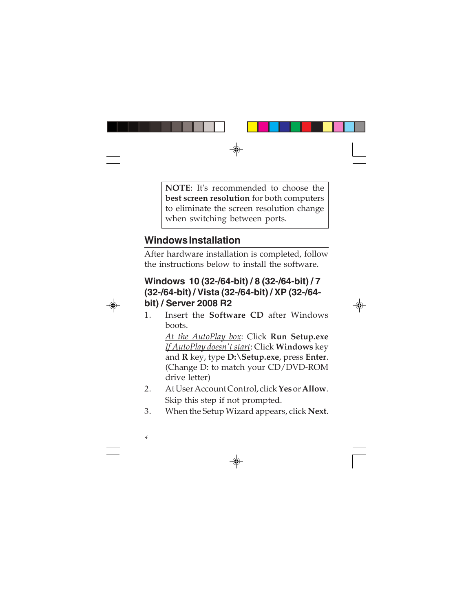**NOTE**: It's recommended to choose the **best screen resolution** for both computers to eliminate the screen resolution change when switching between ports.

## **Windows Installation**

After hardware installation is completed, follow the instructions below to install the software.

#### **Windows 10 (32-/64-bit) / 8 (32-/64-bit) / 7 (32-/64-bit) / Vista (32-/64-bit) / XP (32-/64 bit) / Server 2008 R2**

1. Insert the **Software CD** after Windows boots.

> *At the AutoPlay box*: Click **Run Setup.exe** *If AutoPlay doesn't start*: Click **Windows** key and **R** key, type **D:\Setup.exe**, press **Enter**. (Change D: to match your CD/DVD-ROM drive letter)

- 2. At User Account Control, click **Yes** or **Allow**. Skip this step if not prompted.
- 3. When the Setup Wizard appears, click **Next**.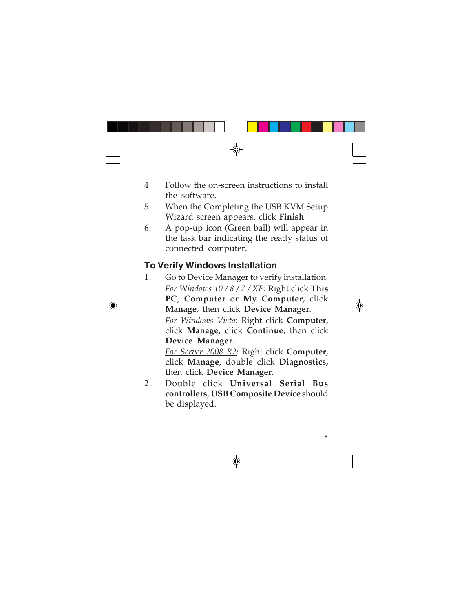- 4. Follow the on-screen instructions to install the software.
- 5. When the Completing the USB KVM Setup Wizard screen appears, click **Finish**.
- 6. A pop-up icon (Green ball) will appear in the task bar indicating the ready status of connected computer.

#### **To Verify Windows Installation**

1. Go to Device Manager to verify installation. *For Windows 10 / 8 / 7 / XP*: Right click **This PC**, **Computer** or **My Computer**, click **Manage**, then click **Device Manager**. *For Windows Vista*: Right click **Computer**,

click **Manage**, click **Continue**, then click **Device Manager**.

*For Server 2008 R2*: Right click **Computer**, click **Manage**, double click **Diagnostics,** then click **Device Manager**.

2. Double click **Universal Serial Bus controllers**, **USB Composite Device** should be displayed.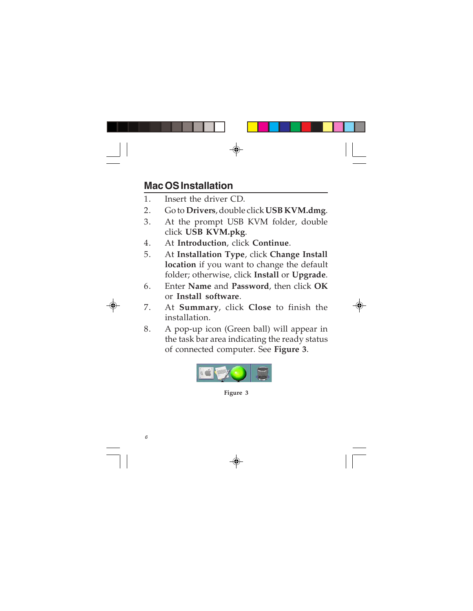### **Mac OS Installation**

- 1. Insert the driver CD.
- 2. Go to **Drivers**, double click **USB KVM.dmg**.
- 3. At the prompt USB KVM folder, double click **USB KVM.pkg**.
- 4. At **Introduction**, click **Continue**.
- 5. At **Installation Type**, click **Change Install location** if you want to change the default folder; otherwise, click **Install** or **Upgrade**.
- 6. Enter **Name** and **Password**, then click **OK** or **Install software**.
- 7. At **Summary**, click **Close** to finish the installation.
- 8. A pop-up icon (Green ball) will appear in the task bar area indicating the ready status of connected computer. See **Figure 3**.



**Figure 3**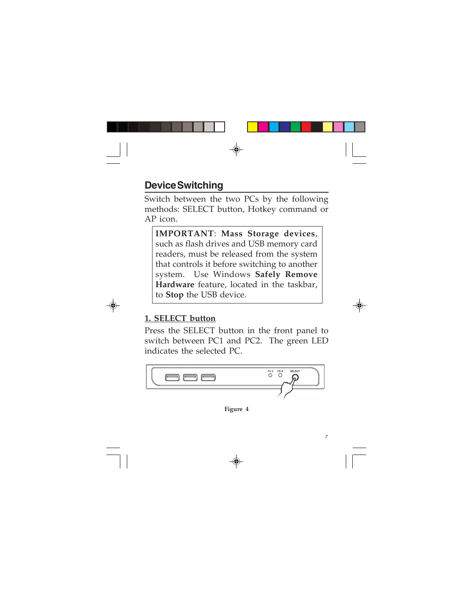## **Device Switching**

Switch between the two PCs by the following methods: SELECT button, Hotkey command or AP icon.

**IMPORTANT**: **Mass Storage devices**, such as flash drives and USB memory card readers, must be released from the system that controls it before switching to another system. Use Windows **Safely Remove Hardware** feature, located in the taskbar, to **Stop** the USB device.

#### **1. SELECT button**

Press the SELECT button in the front panel to switch between PC1 and PC2. The green LED indicates the selected PC.



**Figure 4**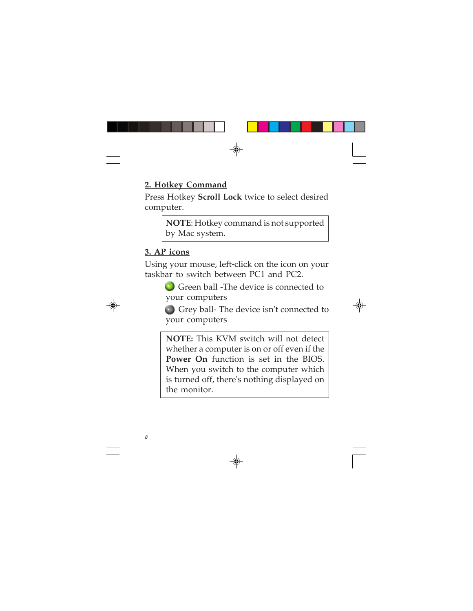#### **2. Hotkey Command**

Press Hotkey **Scroll Lock** twice to select desired computer.

> **NOTE**: Hotkey command is not supported by Mac system.

#### **3. AP icons**

Using your mouse, left-click on the icon on your taskbar to switch between PC1 and PC2.

> Green ball -The device is connected to your computers

 Grey ball- The device isn't connected to your computers

**NOTE:** This KVM switch will not detect whether a computer is on or off even if the **Power On** function is set in the BIOS. When you switch to the computer which is turned off, there's nothing displayed on the monitor.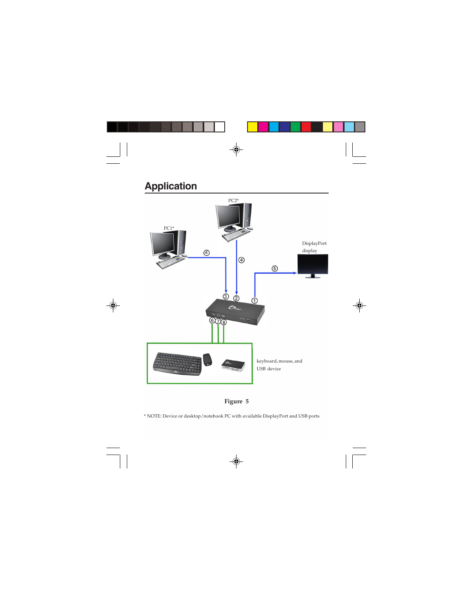#### **Application**





\* NOTE: Device or desktop/notebook PC with available DisplayPort and USB ports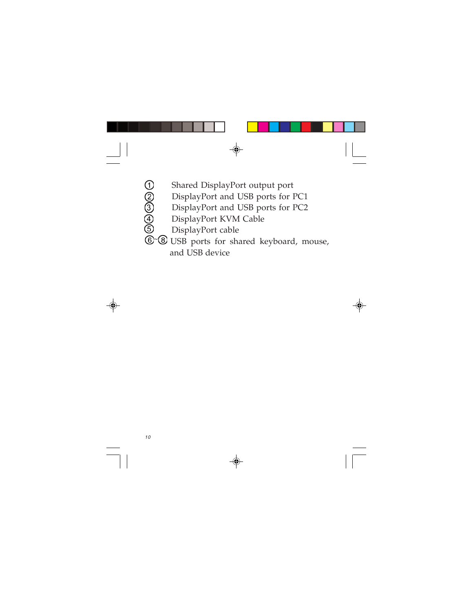Shared DisplayPort output port DisplayPort and USB ports for PC1 DisplayPort and USB ports for PC2 DisplayPort KVM Cable DisplayPort cable

 USB ports for shared keyboard, mouse, and USB device ~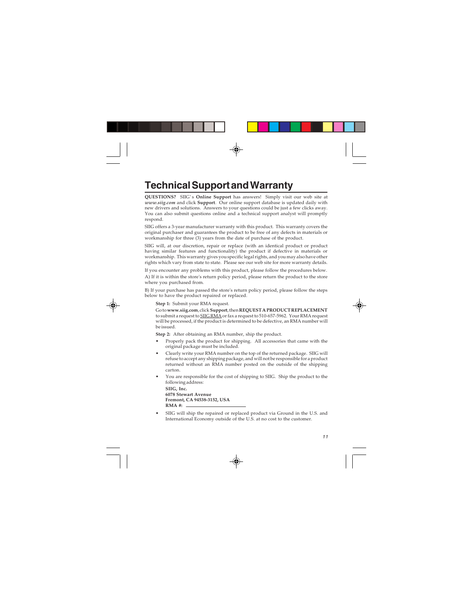## **Technical Support and Warranty**

**QUESTIONS?** SIIG' s **Online Support** has answers! Simply visit our web site at *www.siig.com* and click **Support**. Our online support database is updated daily with new drivers and solutions. Answers to your questions could be just a few clicks away. You can also submit questions online and a technical support analyst will promptly respond.

SIIG offers a 3-year manufacturer warranty with this product. This warranty covers the original purchaser and guarantees the product to be free of any defects in materials or workmanship for three (3) years from the date of purchase of the product.

SIIG will, at our discretion, repair or replace (with an identical product or product having similar features and functionality) the product if defective in materials or workmanship. This warranty gives you specific legal rights, and you may also have other rights which vary from state to state. Please see our web site for more warranty details.

If you encounter any problems with this product, please follow the procedures below. A) If it is within the store's return policy period, please return the product to the store where you purchased from.

B) If your purchase has passed the store's return policy period, please follow the steps below to have the product repaired or replaced.

**Step 1:** Submit your RMA request.

Go to **www.siig.com**, click **Support**, then **REQUEST A PRODUCT REPLACEMENT** to submit a request to SIIG RMA or fax a request to 510-657-5962. Your RMA request will be processed, if the product is determined to be defective, an RMA number will be issued.

**Step 2:** After obtaining an RMA number, ship the product.

- Properly pack the product for shipping. All accessories that came with the original package must be included.
- Clearly write your RMA number on the top of the returned package. SIIG will refuse to accept any shipping package, and will not be responsible for a product returned without an RMA number posted on the outside of the shipping carton.
- You are responsible for the cost of shipping to SIIG. Ship the product to the following address:

**SIIG, Inc. 6078 Stewart Avenue Fremont, CA 94538-3152, USA RMA #:**

• SIIG will ship the repaired or replaced product via Ground in the U.S. and International Economy outside of the U.S. at no cost to the customer.